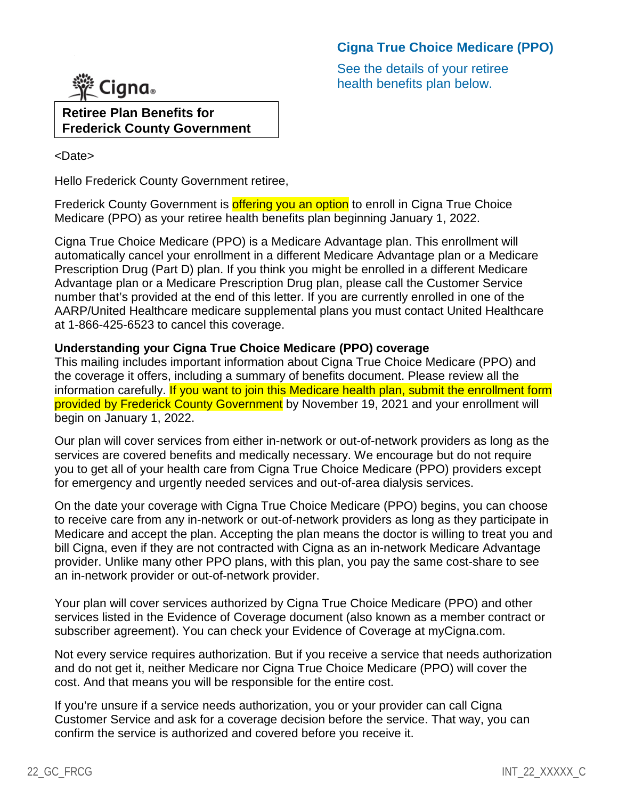# **Cigna True Choice Medicare (PPO)**

See the details of your retiree health benefits plan below.



**Retiree Plan Benefits for Frederick County Government**

<Date>

Hello Frederick County Government retiree,

Frederick County Government is **offering you an option** to enroll in Cigna True Choice Medicare (PPO) as your retiree health benefits plan beginning January 1, 2022.

Cigna True Choice Medicare (PPO) is a Medicare Advantage plan. This enrollment will automatically cancel your enrollment in a different Medicare Advantage plan or a Medicare Prescription Drug (Part D) plan. If you think you might be enrolled in a different Medicare Advantage plan or a Medicare Prescription Drug plan, please call the Customer Service number that's provided at the end of this letter. If you are currently enrolled in one of the AARP/United Healthcare medicare supplemental plans you must contact United Healthcare at 1-866-425-6523 to cancel this coverage.

## **Understanding your Cigna True Choice Medicare (PPO) coverage**

This mailing includes important information about Cigna True Choice Medicare (PPO) and the coverage it offers, including a summary of benefits document. Please review all the information carefully. If you want to join this Medicare health plan, submit the enrollment form provided by Frederick County Government by November 19, 2021 and your enrollment will begin on January 1, 2022.

Our plan will cover services from either in-network or out-of-network providers as long as the services are covered benefits and medically necessary. We encourage but do not require you to get all of your health care from Cigna True Choice Medicare (PPO) providers except for emergency and urgently needed services and out-of-area dialysis services.

On the date your coverage with Cigna True Choice Medicare (PPO) begins, you can choose to receive care from any in-network or out-of-network providers as long as they participate in Medicare and accept the plan. Accepting the plan means the doctor is willing to treat you and bill Cigna, even if they are not contracted with Cigna as an in-network Medicare Advantage provider. Unlike many other PPO plans, with this plan, you pay the same cost-share to see an in-network provider or out-of-network provider.

Your plan will cover services authorized by Cigna True Choice Medicare (PPO) and other services listed in the Evidence of Coverage document (also known as a member contract or subscriber agreement). You can check your Evidence of Coverage at myCigna.com.

Not every service requires authorization. But if you receive a service that needs authorization and do not get it, neither Medicare nor Cigna True Choice Medicare (PPO) will cover the cost. And that means you will be responsible for the entire cost.

If you're unsure if a service needs authorization, you or your provider can call Cigna Customer Service and ask for a coverage decision before the service. That way, you can confirm the service is authorized and covered before you receive it.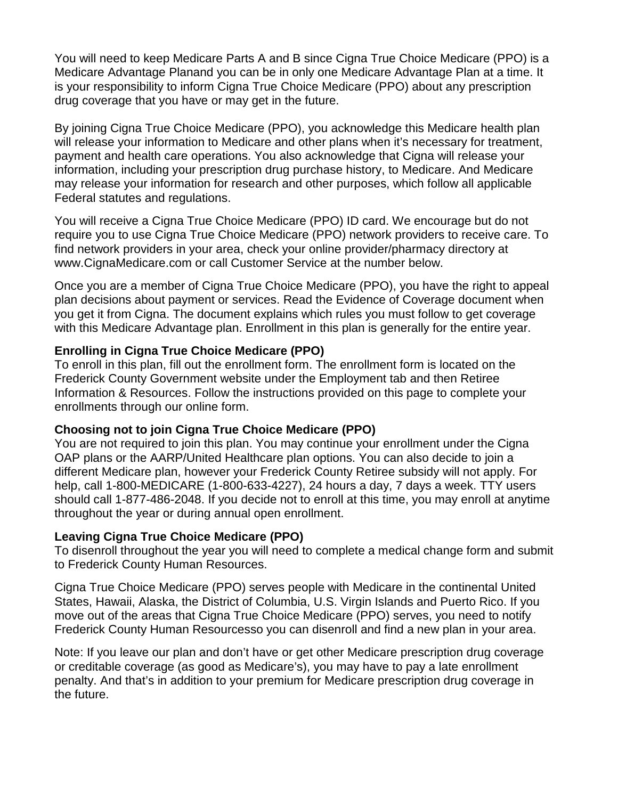You will need to keep Medicare Parts A and B since Cigna True Choice Medicare (PPO) is a Medicare Advantage Planand you can be in only one Medicare Advantage Plan at a time. It is your responsibility to inform Cigna True Choice Medicare (PPO) about any prescription drug coverage that you have or may get in the future.

By joining Cigna True Choice Medicare (PPO), you acknowledge this Medicare health plan will release your information to Medicare and other plans when it's necessary for treatment, payment and health care operations. You also acknowledge that Cigna will release your information, including your prescription drug purchase history, to Medicare. And Medicare may release your information for research and other purposes, which follow all applicable Federal statutes and regulations.

You will receive a Cigna True Choice Medicare (PPO) ID card. We encourage but do not require you to use Cigna True Choice Medicare (PPO) network providers to receive care. To find network providers in your area, check your online provider/pharmacy directory at www.CignaMedicare.com or call Customer Service at the number below.

Once you are a member of Cigna True Choice Medicare (PPO), you have the right to appeal plan decisions about payment or services. Read the Evidence of Coverage document when you get it from Cigna. The document explains which rules you must follow to get coverage with this Medicare Advantage plan. Enrollment in this plan is generally for the entire year.

## **Enrolling in Cigna True Choice Medicare (PPO)**

To enroll in this plan, fill out the enrollment form. The enrollment form is located on the Frederick County Government website under the Employment tab and then Retiree Information & Resources. Follow the instructions provided on this page to complete your enrollments through our online form.

#### **Choosing not to join Cigna True Choice Medicare (PPO)**

You are not required to join this plan. You may continue your enrollment under the Cigna OAP plans or the AARP/United Healthcare plan options. You can also decide to join a different Medicare plan, however your Frederick County Retiree subsidy will not apply. For help, call 1-800-MEDICARE (1-800-633-4227), 24 hours a day, 7 days a week. TTY users should call 1-877-486-2048. If you decide not to enroll at this time, you may enroll at anytime throughout the year or during annual open enrollment.

#### **Leaving Cigna True Choice Medicare (PPO)**

To disenroll throughout the year you will need to complete a medical change form and submit to Frederick County Human Resources.

Cigna True Choice Medicare (PPO) serves people with Medicare in the continental United States, Hawaii, Alaska, the District of Columbia, U.S. Virgin Islands and Puerto Rico. If you move out of the areas that Cigna True Choice Medicare (PPO) serves, you need to notify Frederick County Human Resourcesso you can disenroll and find a new plan in your area.

Note: If you leave our plan and don't have or get other Medicare prescription drug coverage or creditable coverage (as good as Medicare's), you may have to pay a late enrollment penalty. And that's in addition to your premium for Medicare prescription drug coverage in the future.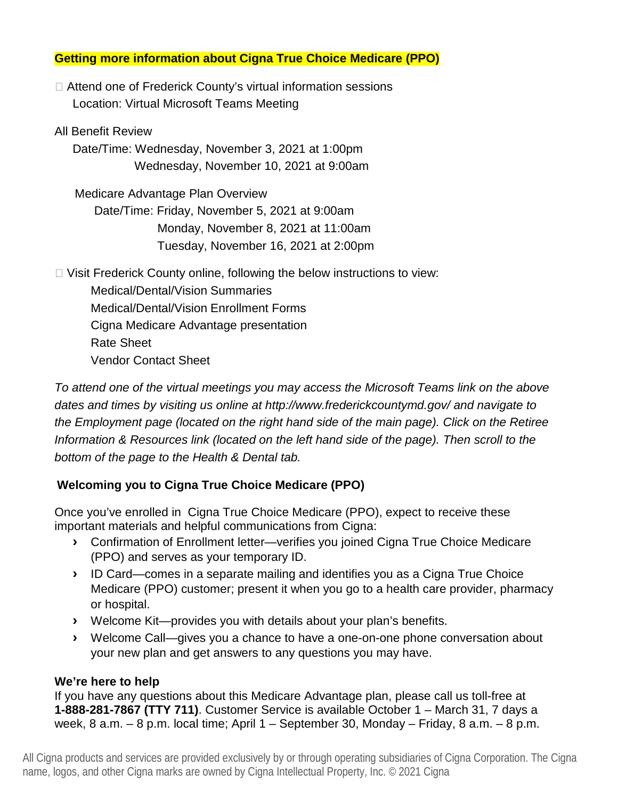## **Getting more information about Cigna True Choice Medicare (PPO)**

□ Attend one of Frederick County's virtual information sessions Location: Virtual Microsoft Teams Meeting

All Benefit Review

Date/Time: Wednesday, November 3, 2021 at 1:00pm Wednesday, November 10, 2021 at 9:00am

 Medicare Advantage Plan Overview Date/Time: Friday, November 5, 2021 at 9:00am Monday, November 8, 2021 at 11:00am Tuesday, November 16, 2021 at 2:00pm

□ Visit Frederick County online, following the below instructions to view: Medical/Dental/Vision Summaries Medical/Dental/Vision Enrollment Forms

Cigna Medicare Advantage presentation

Rate Sheet

Vendor Contact Sheet

*To attend one of the virtual meetings you may access the Microsoft Teams link on the above dates and times by visiting us online at http://www.frederickcountymd.gov/ and navigate to the Employment page (located on the right hand side of the main page). Click on the Retiree Information & Resources link (located on the left hand side of the page). Then scroll to the bottom of the page to the Health & Dental tab.*

# **Welcoming you to Cigna True Choice Medicare (PPO)**

Once you've enrolled in Cigna True Choice Medicare (PPO), expect to receive these important materials and helpful communications from Cigna:

- **›** Confirmation of Enrollment letter—verifies you joined Cigna True Choice Medicare (PPO) and serves as your temporary ID.
- **›** ID Card—comes in a separate mailing and identifies you as a Cigna True Choice Medicare (PPO) customer; present it when you go to a health care provider, pharmacy or hospital.
- **›** Welcome Kit—provides you with details about your plan's benefits.
- **›** Welcome Call—gives you a chance to have a one-on-one phone conversation about your new plan and get answers to any questions you may have.

## **We're here to help**

If you have any questions about this Medicare Advantage plan, please call us toll-free at **1-888-281-7867 (TTY 711)**. Customer Service is available October 1 – March 31, 7 days a week, 8 a.m. – 8 p.m. local time; April 1 – September 30, Monday – Friday, 8 a.m. – 8 p.m.

All Cigna products and services are provided exclusively by or through operating subsidiaries of Cigna Corporation. The Cigna name, logos, and other Cigna marks are owned by Cigna Intellectual Property, Inc. © 2021 Cigna